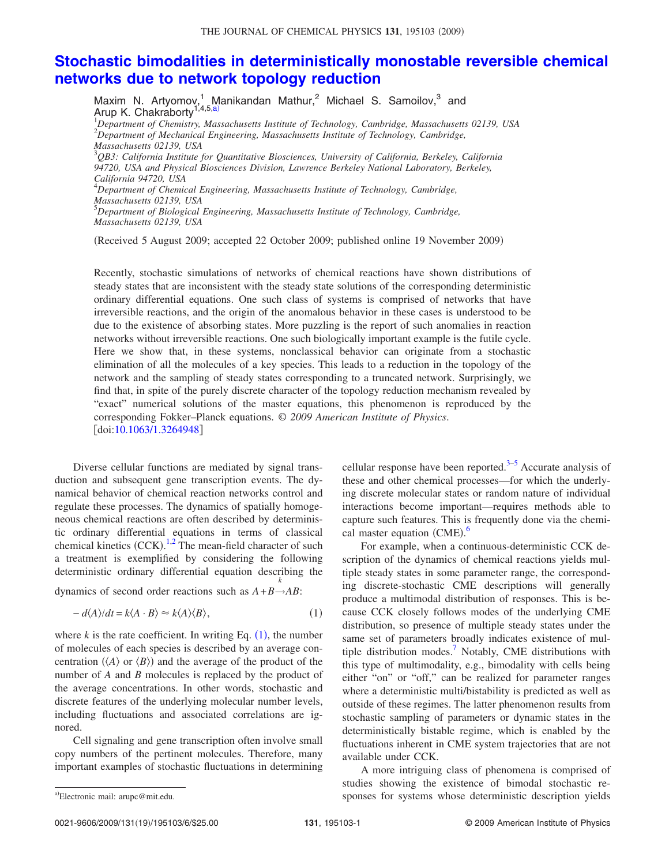## **Stochastic bimodalities in deterministically monostable reversible chemical networks due to network topology reduction**

Maxim N. Artyomov,<sup>1</sup> Manikandan Mathur,<sup>2</sup> Michael S. Samoilov,<sup>3</sup> and Arup K. Chakraborty<sup>1,4,5,a)</sup> <sup>1</sup>*Department of Chemistry, Massachusetts Institute of Technology, Cambridge, Massachusetts 02139, USA* <sup>2</sup>*Department of Mechanical Engineering, Massachusetts Institute of Technology, Cambridge, Massachusetts 02139, USA* <sup>3</sup>*QB3: California Institute for Quantitative Biosciences, University of California, Berkeley, California 94720, USA and Physical Biosciences Division, Lawrence Berkeley National Laboratory, Berkeley, California 94720, USA* <sup>4</sup>*Department of Chemical Engineering, Massachusetts Institute of Technology, Cambridge, Massachusetts 02139, USA* <sup>5</sup>*Department of Biological Engineering, Massachusetts Institute of Technology, Cambridge, Massachusetts 02139, USA*

Received 5 August 2009; accepted 22 October 2009; published online 19 November 2009-

Recently, stochastic simulations of networks of chemical reactions have shown distributions of steady states that are inconsistent with the steady state solutions of the corresponding deterministic ordinary differential equations. One such class of systems is comprised of networks that have irreversible reactions, and the origin of the anomalous behavior in these cases is understood to be due to the existence of absorbing states. More puzzling is the report of such anomalies in reaction networks without irreversible reactions. One such biologically important example is the futile cycle. Here we show that, in these systems, nonclassical behavior can originate from a stochastic elimination of all the molecules of a key species. This leads to a reduction in the topology of the network and the sampling of steady states corresponding to a truncated network. Surprisingly, we find that, in spite of the purely discrete character of the topology reduction mechanism revealed by "exact" numerical solutions of the master equations, this phenomenon is reproduced by the corresponding Fokker–Planck equations. © *2009 American Institute of Physics*. doi:10.1063/1.3264948

Diverse cellular functions are mediated by signal transduction and subsequent gene transcription events. The dynamical behavior of chemical reaction networks control and regulate these processes. The dynamics of spatially homogeneous chemical reactions are often described by deterministic ordinary differential equations in terms of classical chemical kinetics  $(CCK)$ .<sup>1,2</sup> The mean-field character of such a treatment is exemplified by considering the following deterministic ordinary differential equation describing the *k*

dynamics of second order reactions such as  $A + B \rightarrow AB$ :

$$
-d\langle A\rangle/dt = k\langle A\cdot B\rangle \approx k\langle A\rangle\langle B\rangle, \tag{1}
$$

where  $k$  is the rate coefficient. In writing Eq.  $(1)$ , the number of molecules of each species is described by an average concentration  $(\langle A \rangle \text{ or } \langle B \rangle)$  and the average of the product of the number of *A* and *B* molecules is replaced by the product of the average concentrations. In other words, stochastic and discrete features of the underlying molecular number levels, including fluctuations and associated correlations are ignored.

Cell signaling and gene transcription often involve small copy numbers of the pertinent molecules. Therefore, many important examples of stochastic fluctuations in determining cellular response have been reported. $3-5$  Accurate analysis of these and other chemical processes—for which the underlying discrete molecular states or random nature of individual interactions become important—requires methods able to capture such features. This is frequently done via the chemical master equation (CME).<sup>6</sup>

For example, when a continuous-deterministic CCK description of the dynamics of chemical reactions yields multiple steady states in some parameter range, the corresponding discrete-stochastic CME descriptions will generally produce a multimodal distribution of responses. This is because CCK closely follows modes of the underlying CME distribution, so presence of multiple steady states under the same set of parameters broadly indicates existence of multiple distribution modes.<sup>7</sup> Notably, CME distributions with this type of multimodality, e.g., bimodality with cells being either "on" or "off," can be realized for parameter ranges where a deterministic multi/bistability is predicted as well as outside of these regimes. The latter phenomenon results from stochastic sampling of parameters or dynamic states in the deterministically bistable regime, which is enabled by the fluctuations inherent in CME system trajectories that are not available under CCK.

A more intriguing class of phenomena is comprised of studies showing the existence of bimodal stochastic responses for systems whose deterministic description yields

Electronic mail: arupc@mit.edu.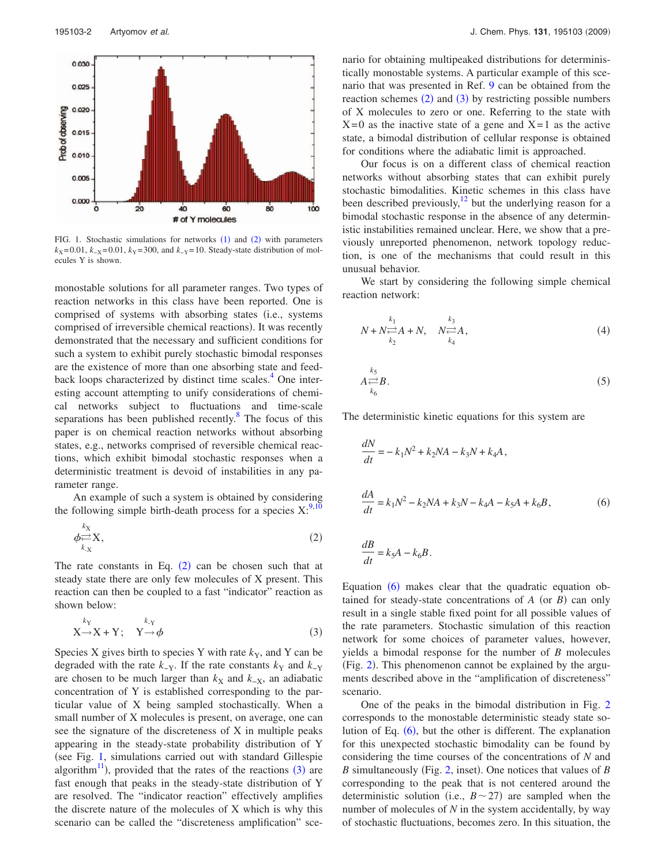

FIG. 1. Stochastic simulations for networks  $(1)$  and  $(2)$  with parameters  $k_X$  =0.01,  $k_X$  =0.01,  $k_Y$  =300, and  $k_Y$  =10. Steady-state distribution of molecules Y is shown.

monostable solutions for all parameter ranges. Two types of reaction networks in this class have been reported. One is comprised of systems with absorbing states (i.e., systems comprised of irreversible chemical reactions). It was recently demonstrated that the necessary and sufficient conditions for such a system to exhibit purely stochastic bimodal responses are the existence of more than one absorbing state and feedback loops characterized by distinct time scales.<sup>4</sup> One interesting account attempting to unify considerations of chemical networks subject to fluctuations and time-scale separations has been published recently.<sup>8</sup> The focus of this paper is on chemical reaction networks without absorbing states, e.g., networks comprised of reversible chemical reactions, which exhibit bimodal stochastic responses when a deterministic treatment is devoid of instabilities in any parameter range.

An example of such a system is obtained by considering the following simple birth-death process for a species  $X$ :<sup>9,10</sup>

$$
\phi \underset{k_{\text{X}}}{\rightleftarrows} X, \tag{2}
$$

The rate constants in Eq.  $(2)$  can be chosen such that at steady state there are only few molecules of X present. This reaction can then be coupled to a fast "indicator" reaction as shown below:

$$
X \rightarrow X + Y; \quad Y \rightarrow \phi
$$
 (3)

Species X gives birth to species Y with rate  $k<sub>Y</sub>$ , and Y can be degraded with the rate  $k_{-Y}$ . If the rate constants  $k_{Y}$  and  $k_{-Y}$ are chosen to be much larger than  $k_X$  and  $k_{-X}$ , an adiabatic concentration of Y is established corresponding to the particular value of X being sampled stochastically. When a small number of X molecules is present, on average, one can see the signature of the discreteness of X in multiple peaks appearing in the steady-state probability distribution of Y (see Fig. 1, simulations carried out with standard Gillespie algorithm<sup>11</sup>), provided that the rates of the reactions  $(3)$  are fast enough that peaks in the steady-state distribution of Y are resolved. The "indicator reaction" effectively amplifies the discrete nature of the molecules of X which is why this scenario can be called the "discreteness amplification" scenario for obtaining multipeaked distributions for deterministically monostable systems. A particular example of this scenario that was presented in Ref. 9 can be obtained from the reaction schemes  $(2)$  and  $(3)$  by restricting possible numbers of X molecules to zero or one. Referring to the state with  $X=0$  as the inactive state of a gene and  $X=1$  as the active state, a bimodal distribution of cellular response is obtained for conditions where the adiabatic limit is approached.

Our focus is on a different class of chemical reaction networks without absorbing states that can exhibit purely stochastic bimodalities. Kinetic schemes in this class have been described previously, $12$  but the underlying reason for a bimodal stochastic response in the absence of any deterministic instabilities remained unclear. Here, we show that a previously unreported phenomenon, network topology reduction, is one of the mechanisms that could result in this unusual behavior.

We start by considering the following simple chemical reaction network:

$$
N + N \underset{k_2}{\rightleftarrows} A + N, \quad N \underset{k_4}{\rightleftarrows} A, \tag{4}
$$

$$
A \underset{k_6}{\rightleftarrows} B. \tag{5}
$$

The deterministic kinetic equations for this system are

$$
\frac{dN}{dt} = -k_1 N^2 + k_2 N A - k_3 N + k_4 A,
$$
  

$$
\frac{dA}{dt} = k_1 N^2 - k_2 N A + k_3 N - k_4 A - k_5 A + k_6 B,
$$
 (6)

$$
\frac{dE}{dt} = k_5 A - k_6 B.
$$

Equation  $(6)$  makes clear that the quadratic equation obtained for steady-state concentrations of  $A$  (or  $B$ ) can only result in a single stable fixed point for all possible values of the rate parameters. Stochastic simulation of this reaction network for some choices of parameter values, however, yields a bimodal response for the number of *B* molecules (Fig. 2). This phenomenon cannot be explained by the arguments described above in the "amplification of discreteness" scenario.

One of the peaks in the bimodal distribution in Fig. 2 corresponds to the monostable deterministic steady state solution of Eq. (6), but the other is different. The explanation for this unexpected stochastic bimodality can be found by considering the time courses of the concentrations of *N* and B simultaneously (Fig. 2, inset). One notices that values of *B* corresponding to the peak that is not centered around the deterministic solution (i.e.,  $B \sim 27$ ) are sampled when the number of molecules of *N* in the system accidentally, by way of stochastic fluctuations, becomes zero. In this situation, the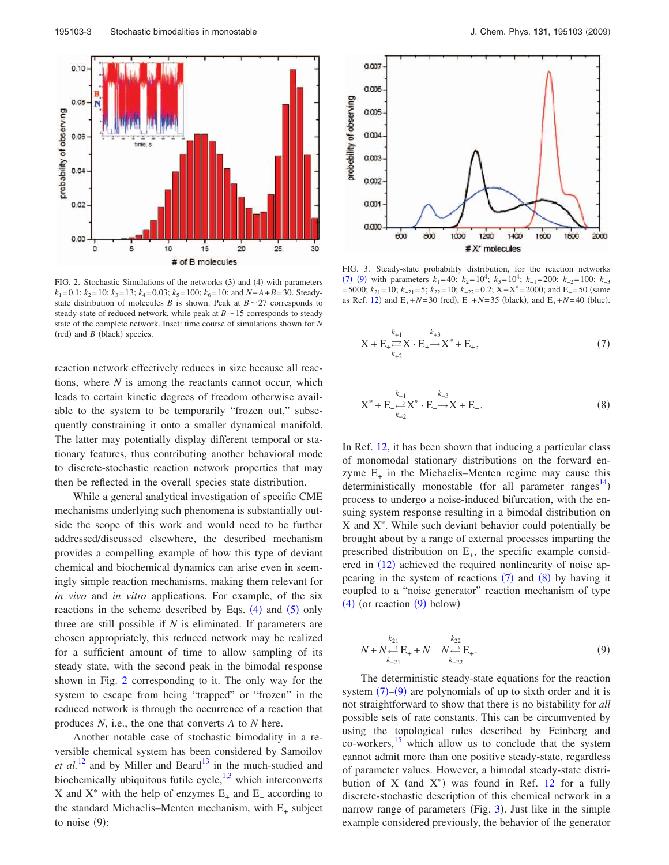

FIG. 2. Stochastic Simulations of the networks (3) and (4) with parameters  $k_1=0.1$ ;  $k_2=10$ ;  $k_3=13$ ;  $k_4=0.03$ ;  $k_5=100$ ;  $k_6=10$ ; and  $N+A+B=30$ . Steadystate distribution of molecules *B* is shown. Peak at  $B \sim 27$  corresponds to steady-state of reduced network, while peak at  $B \sim 15$  corresponds to steady state of the complete network. Inset: time course of simulations shown for *N*  $(\text{red})$  and  $B$   $(\text{black})$  species.

reaction network effectively reduces in size because all reactions, where *N* is among the reactants cannot occur, which leads to certain kinetic degrees of freedom otherwise available to the system to be temporarily "frozen out," subsequently constraining it onto a smaller dynamical manifold. The latter may potentially display different temporal or stationary features, thus contributing another behavioral mode to discrete-stochastic reaction network properties that may then be reflected in the overall species state distribution.

While a general analytical investigation of specific CME mechanisms underlying such phenomena is substantially outside the scope of this work and would need to be further addressed/discussed elsewhere, the described mechanism provides a compelling example of how this type of deviant chemical and biochemical dynamics can arise even in seemingly simple reaction mechanisms, making them relevant for *in vivo* and *in vitro* applications. For example, of the six reactions in the scheme described by Eqs.  $(4)$  and  $(5)$  only three are still possible if *N* is eliminated. If parameters are chosen appropriately, this reduced network may be realized for a sufficient amount of time to allow sampling of its steady state, with the second peak in the bimodal response shown in Fig. 2 corresponding to it. The only way for the system to escape from being "trapped" or "frozen" in the reduced network is through the occurrence of a reaction that produces *N*, i.e., the one that converts *A* to *N* here.

Another notable case of stochastic bimodality in a reversible chemical system has been considered by Samoilov *et al.*<sup>12</sup> and by Miller and Beard<sup>13</sup> in the much-studied and biochemically ubiquitous futile cycle, $1,3$  which interconverts X and  $X^*$  with the help of enzymes  $E_+$  and  $E_-$  according to the standard Michaelis–Menten mechanism, with  $E_{+}$  subject to noise  $(9)$ :



FIG. 3. Steady-state probability distribution, for the reaction networks (7)–(9) with parameters  $k_1$ =40;  $k_2$ =10<sup>4</sup>;  $k_3$ =10<sup>4</sup>;  $k_{-1}$ =200;  $k_{-2}$ =100;  $k_{-3}$ =5000;  $k_{21}$ =10;  $k_{-21}$ =5;  $k_{22}$ =10;  $k_{-22}$ =0.2; X+X<sup>\*</sup>=2000; and E<sub>−</sub>=50 (same as Ref. 12) and  $E_+ + N = 30$  (red),  $E_+ + N = 35$  (black), and  $E_+ + N = 40$  (blue).

$$
X + E_{+} \stackrel{k_{+1}}{\underset{k_{+2}}{\rightleftharpoons}} X \cdot E_{+} \stackrel{k_{+3}}{\longrightarrow} X^{*} + E_{+},
$$
\n(7)

$$
X^* + E \rightleftharpoons \sum_{k_{-2}}^{k_{-1}} X^* \cdot E \xrightarrow{k_{-3}} X + E \tag{8}
$$

In Ref. 12, it has been shown that inducing a particular class of monomodal stationary distributions on the forward enzyme  $E_{+}$  in the Michaelis–Menten regime may cause this deterministically monostable (for all parameter ranges<sup>14</sup>) process to undergo a noise-induced bifurcation, with the ensuing system response resulting in a bimodal distribution on  $X$  and  $X^*$ . While such deviant behavior could potentially be brought about by a range of external processes imparting the prescribed distribution on  $E_{+}$ , the specific example considered in  $(12)$  achieved the required nonlinearity of noise appearing in the system of reactions  $(7)$  and  $(8)$  by having it coupled to a "noise generator" reaction mechanism of type  $(4)$  (or reaction  $(9)$  below)

$$
N + N \underset{k_{-21}}{\overset{k_{21}}{\rightleftharpoons}} E_+ + N \quad N \underset{k_{-22}}{\overset{k_{22}}{\rightleftharpoons}} E_+.
$$
 (9)

The deterministic steady-state equations for the reaction system  $(7)$ – $(9)$  are polynomials of up to sixth order and it is not straightforward to show that there is no bistability for *all* possible sets of rate constants. This can be circumvented by using the topological rules described by Feinberg and co-workers,<sup>15</sup> which allow us to conclude that the system cannot admit more than one positive steady-state, regardless of parameter values. However, a bimodal steady-state distribution of X (and  $X^*$ ) was found in Ref. 12 for a fully discrete-stochastic description of this chemical network in a narrow range of parameters (Fig. 3). Just like in the simple example considered previously, the behavior of the generator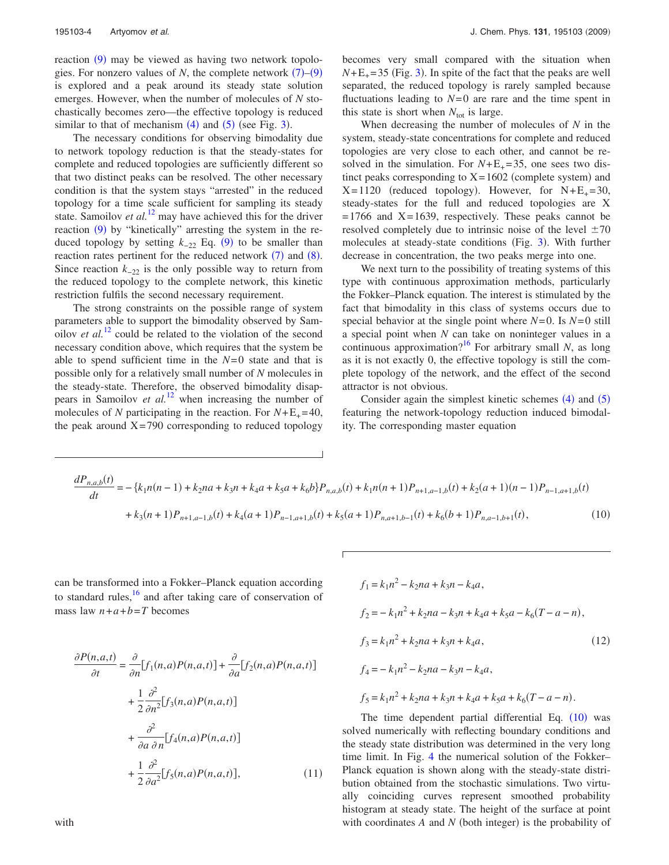reaction (9) may be viewed as having two network topologies. For nonzero values of  $N$ , the complete network  $(7)$ – $(9)$ is explored and a peak around its steady state solution emerges. However, when the number of molecules of *N* stochastically becomes zero—the effective topology is reduced similar to that of mechanism  $(4)$  and  $(5)$  (see Fig. 3).

The necessary conditions for observing bimodality due to network topology reduction is that the steady-states for complete and reduced topologies are sufficiently different so that two distinct peaks can be resolved. The other necessary condition is that the system stays "arrested" in the reduced topology for a time scale sufficient for sampling its steady state. Samoilov *et al.*<sup>12</sup> may have achieved this for the driver reaction (9) by "kinetically" arresting the system in the reduced topology by setting  $k_{-22}$  Eq. (9) to be smaller than reaction rates pertinent for the reduced network  $(7)$  and  $(8)$ . Since reaction  $k_{-22}$  is the only possible way to return from the reduced topology to the complete network, this kinetic restriction fulfils the second necessary requirement.

The strong constraints on the possible range of system parameters able to support the bimodality observed by Samoilov *et al.*<sup>12</sup> could be related to the violation of the second necessary condition above, which requires that the system be able to spend sufficient time in the *N*=0 state and that is possible only for a relatively small number of *N* molecules in the steady-state. Therefore, the observed bimodality disappears in Samoilov *et al.*<sup>12</sup> when increasing the number of molecules of *N* participating in the reaction. For  $N+E_{+}=40$ , the peak around  $X=790$  corresponding to reduced topology becomes very small compared with the situation when  $N+E_+ = 35$  (Fig. 3). In spite of the fact that the peaks are well separated, the reduced topology is rarely sampled because fluctuations leading to  $N=0$  are rare and the time spent in this state is short when  $N_{\text{tot}}$  is large.

When decreasing the number of molecules of *N* in the system, steady-state concentrations for complete and reduced topologies are very close to each other, and cannot be resolved in the simulation. For  $N+E_{+}=35$ , one sees two distinct peaks corresponding to  $X = 1602$  (complete system) and  $X=1120$  (reduced topology). However, for  $N+E_+ = 30$ , steady-states for the full and reduced topologies are X  $=1766$  and  $X=1639$ , respectively. These peaks cannot be resolved completely due to intrinsic noise of the level  $\pm 70$ molecules at steady-state conditions (Fig. 3). With further decrease in concentration, the two peaks merge into one.

We next turn to the possibility of treating systems of this type with continuous approximation methods, particularly the Fokker–Planck equation. The interest is stimulated by the fact that bimodality in this class of systems occurs due to special behavior at the single point where *N*=0. Is *N*=0 still a special point when *N* can take on noninteger values in a continuous approximation?<sup>16</sup> For arbitrary small *N*, as long as it is not exactly 0, the effective topology is still the complete topology of the network, and the effect of the second attractor is not obvious.

Consider again the simplest kinetic schemes  $(4)$  and  $(5)$ featuring the network-topology reduction induced bimodality. The corresponding master equation

$$
\frac{dP_{n,a,b}(t)}{dt} = -\{k_1n(n-1) + k_2na + k_3n + k_4a + k_5a + k_6b\}P_{n,a,b}(t) + k_1n(n+1)P_{n+1,a-1,b}(t) + k_2(a+1)(n-1)P_{n-1,a+1,b}(t) + k_3(n+1)P_{n+1,a-1,b}(t) + k_4(a+1)P_{n-1,a+1,b}(t) + k_5(a+1)P_{n,a+1,b-1}(t) + k_6(b+1)P_{n,a-1,b+1}(t),
$$
\n(10)

can be transformed into a Fokker–Planck equation according to standard rules, $\frac{16}{16}$  and after taking care of conservation of mass law  $n+a+b=T$  becomes

$$
\frac{\partial P(n,a,t)}{\partial t} = \frac{\partial}{\partial n} [f_1(n,a)P(n,a,t)] + \frac{\partial}{\partial a} [f_2(n,a)P(n,a,t)]
$$

$$
+ \frac{1}{2} \frac{\partial^2}{\partial n^2} [f_3(n,a)P(n,a,t)]
$$

$$
+ \frac{\partial^2}{\partial a \partial n} [f_4(n,a)P(n,a,t)]
$$

$$
+ \frac{1}{2} \frac{\partial^2}{\partial a^2} [f_5(n,a)P(n,a,t)], \qquad (11)
$$

$$
f_1 = k_1 n^2 - k_2 na + k_3 n - k_4 a,
$$
  
\n
$$
f_2 = -k_1 n^2 + k_2 na - k_3 n + k_4 a + k_5 a - k_6 (T - a - n),
$$
  
\n
$$
f_3 = k_1 n^2 + k_2 na + k_3 n + k_4 a,
$$
  
\n
$$
f_4 = -k_1 n^2 - k_2 na - k_3 n - k_4 a,
$$
  
\n
$$
f_5 = k_1 n^2 + k_2 na + k_3 n + k_4 a + k_5 a + k_6 (T - a - n).
$$
  
\n(12)

The time dependent partial differential Eq.  $(10)$  was solved numerically with reflecting boundary conditions and the steady state distribution was determined in the very long time limit. In Fig. 4 the numerical solution of the Fokker– Planck equation is shown along with the steady-state distribution obtained from the stochastic simulations. Two virtually coinciding curves represent smoothed probability histogram at steady state. The height of the surface at point with coordinates  $A$  and  $N$  (both integer) is the probability of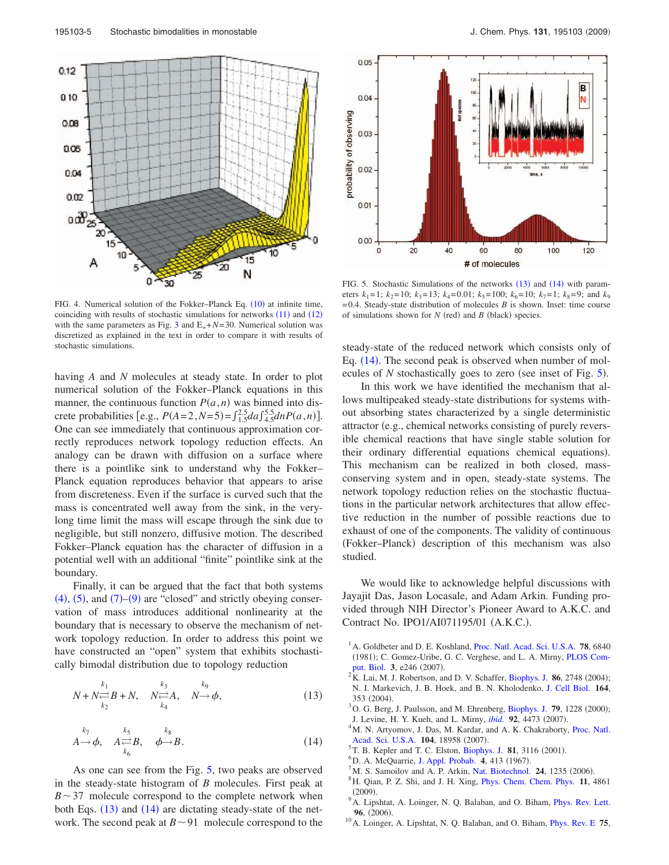

FIG. 4. Numerical solution of the Fokker-Planck Eq. (10) at infinite time, coinciding with results of stochastic simulations for networks  $(11)$  and  $(12)$ with the same parameters as Fig. 3 and  $E_{+} + N = 30$ . Numerical solution was discretized as explained in the text in order to compare it with results of stochastic simulations.

having *A* and *N* molecules at steady state. In order to plot numerical solution of the Fokker–Planck equations in this manner, the continuous function  $P(a,n)$  was binned into discrete probabilities [e.g.,  $P(A=2, N=5) = \int_{1.5}^{2.5} da \int_{4.5}^{5.5} dn P(a, n)$ ]. One can see immediately that continuous approximation correctly reproduces network topology reduction effects. An analogy can be drawn with diffusion on a surface where there is a pointlike sink to understand why the Fokker– Planck equation reproduces behavior that appears to arise from discreteness. Even if the surface is curved such that the mass is concentrated well away from the sink, in the verylong time limit the mass will escape through the sink due to negligible, but still nonzero, diffusive motion. The described Fokker–Planck equation has the character of diffusion in a potential well with an additional "finite" pointlike sink at the boundary.

Finally, it can be argued that the fact that both systems  $(4)$ ,  $(5)$ , and  $(7)$ – $(9)$  are "closed" and strictly obeying conservation of mass introduces additional nonlinearity at the boundary that is necessary to observe the mechanism of network topology reduction. In order to address this point we have constructed an "open" system that exhibits stochastically bimodal distribution due to topology reduction

$$
N + N \underset{k_2}{\rightleftharpoons} B + N, \quad N \underset{k_4}{\rightleftharpoons} A, \quad N \to \phi,
$$
 (13)

$$
\stackrel{k_7}{A \to \phi,} \quad \stackrel{k_5}{A \underset{k_6}{\rightleftharpoons} B,} \quad \stackrel{k_8}{\phi \to B.} \tag{14}
$$

As one can see from the Fig. 5, two peaks are observed in the steady-state histogram of *B* molecules. First peak at  $B \sim 37$  molecule correspond to the complete network when both Eqs. (13) and (14) are dictating steady-state of the network. The second peak at  $B \sim 91$  molecule correspond to the



FIG. 5. Stochastic Simulations of the networks  $(13)$  and  $(14)$  with parameters  $k_1 = 1$ ;  $k_2 = 10$ ;  $k_3 = 13$ ;  $k_4 = 0.01$ ;  $k_5 = 100$ ;  $k_6 = 10$ ;  $k_7 = 1$ ;  $k_8 = 9$ ; and  $k_9$  $=0.4$ . Steady-state distribution of molecules *B* is shown. Inset: time course of simulations shown for  $N$  (red) and  $B$  (black) species.

steady-state of the reduced network which consists only of Eq. (14). The second peak is observed when number of molecules of  $N$  stochastically goes to zero (see inset of Fig.  $5$ ).

In this work we have identified the mechanism that allows multipeaked steady-state distributions for systems without absorbing states characterized by a single deterministic attractor (e.g., chemical networks consisting of purely reversible chemical reactions that have single stable solution for their ordinary differential equations chemical equations). This mechanism can be realized in both closed, massconserving system and in open, steady-state systems. The network topology reduction relies on the stochastic fluctuations in the particular network architectures that allow effective reduction in the number of possible reactions due to exhaust of one of the components. The validity of continuous (Fokker-Planck) description of this mechanism was also studied.

We would like to acknowledge helpful discussions with Jayajit Das, Jason Locasale, and Adam Arkin. Funding provided through NIH Director's Pioneer Award to A.K.C. and Contract No. IPO1/AI071195/01 (A.K.C.).

- <sup>1</sup>A. Goldbeter and D. E. Koshland, Proc. Natl. Acad. Sci. U.S.A. 78, 6840 (1981); C. Gomez-Uribe, G. C. Verghese, and L. A. Mirny, PLOS Comput. Biol. 3, e246 (2007).
- $2K$ . Lai, M. J. Robertson, and D. V. Schaffer, Biophys. J. 86, 2748 (2004); N. I. Markevich, J. B. Hoek, and B. N. Kholodenko, J. Cell Biol. **164**, 353 (2004).
- <sup>3</sup> O. G. Berg, J. Paulsson, and M. Ehrenberg, Biophys. J. 79, 1228 (2000); J. Levine, H. Y. Kueh, and L. Mirny, *ibid.* 92, 4473 (2007).
- <sup>4</sup>M. N. Artyomov, J. Das, M. Kardar, and A. K. Chakraborty, Proc. Natl. Acad. Sci. U.S.A. 104, 18958 (2007).
- ${}^{5}$ T. B. Kepler and T. C. Elston, Biophys. J. 81, 3116 (2001).
- <sup>6</sup>D. A. McQuarrie, J. Appl. Probab. 4, 413 (1967).
- $^7$ M. S. Samoilov and A. P. Arkin, Nat. Biotechnol. **24**, 1235 (2006).
- <sup>8</sup>H. Qian, P. Z. Shi, and J. H. Xing, Phys. Chem. Chem. Phys. **11**, 4861  $(2009).$
- <sup>9</sup> A. Lipshtat, A. Loinger, N. Q. Balaban, and O. Biham, *Phys. Rev. Lett.* 96, (2006).
- <sup>10</sup>A. Loinger, A. Lipshtat, N. Q. Balaban, and O. Biham, Phys. Rev. E **75**,